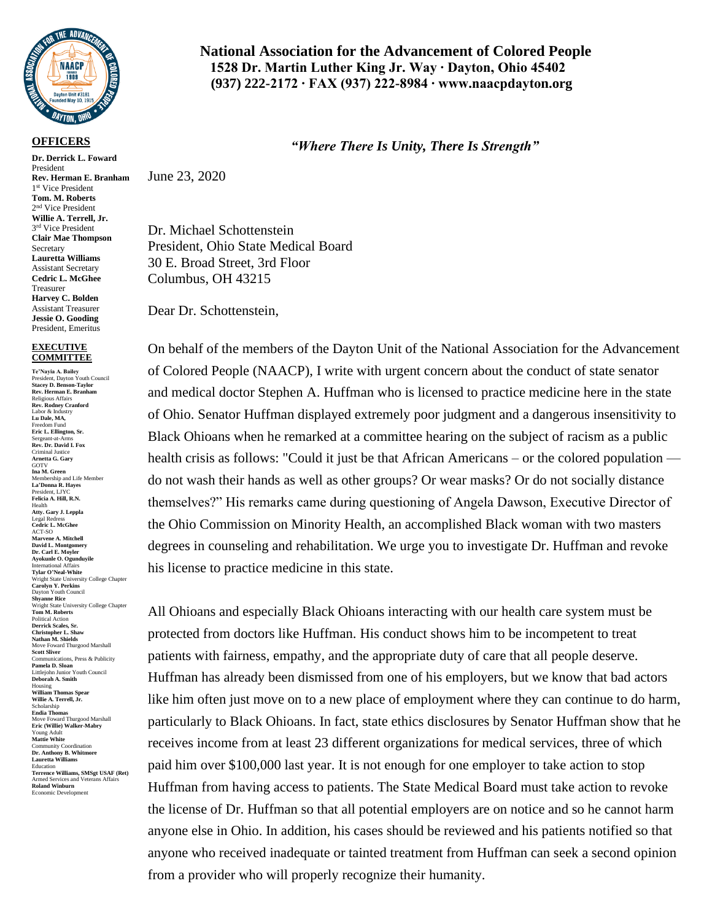

## **OFFICERS**

**Dr. Derrick L. Foward**  President **Rev. Herman E. Branham** 1 st Vice President **Tom. M. Roberts** 2 nd Vice President **Willie A. Terrell, Jr.** 3<sup>rd</sup> Vice President **Clair Mae Thompson** Secretary **Lauretta Williams** Assistant Secretary **Cedric L. McGhee** Treasurer **Harvey C. Bolden** Assistant Treasurer **Jessie O. Gooding** President, Emeritus

## **EXECUTIVE COMMITTEE**

**Te'Nayia A. Bailey** President, Dayton Youth Council **Stacey D. Benson-Taylor Rev. Herman E. Branham** Religious Affairs **Rev. Rodney Cranford** Labor & Industry **Lu Dale, MA,** Freedom Fund **Eric L. Ellington, Sr.** Sergeant-at-Arms **Rev. Dr. David I. Fox** Criminal Justice **Arnetta G. Gary** GOTV<br>Ina M. Green **Ina M. Green** Membership and Life Member **La'Donna R. Hayes** President, LJYC **Felicia A. Hill, R.N.** Health **Atty. Gary J. Leppla** Legal Redress **Cedric L. McGhee** ACT-SO **Marvene A. Mitchell David L. Montgomery Dr. Carl E. Moyler Ayokunle O. Ogunduyile** International Affairs **Tylar O'Neal-White** Wright State University College Chapter **Carolyn Y. Perkins** Dayton Youth Council **Shyanne Rice** Wright State University College Chapter **Tom M. Roberts** Political Action **Derrick Scales, Sr. Christopher L. Shaw Nathan M. Shields** Move Foward Thurgood Marshall **Scott Sliver** Communications, Press & Publicity **Pamela D. Sloan** Littlejohn Junior Youth Council **Deborah A. Smith** Housing **William Thomas Spear Willie A. Terrell, Jr.** Scholarship **Endia Thomas** Move Foward Thurgood Marshall **Eric (Willie) Walker-Mabry** Young Adult **Mattie White** Community Coordination **Dr. Anthony B. Whitmore Lauretta Williams** Education **Terrence Williams, SMSgt USAF (Ret)** Armed Services and Veterans Affairs **Roland Winburn** Economic Development

## **National Association for the Advancement of Colored People 1528 Dr. Martin Luther King Jr. Way ∙ Dayton, Ohio 45402 (937) 222-2172 ∙ FAX (937) 222-8984 ∙ www.naacpdayton.org**

## *"Where There Is Unity, There Is Strength"*

June 23, 2020

Dr. Michael Schottenstein President, Ohio State Medical Board 30 E. Broad Street, 3rd Floor Columbus, OH 43215

Dear Dr. Schottenstein,

On behalf of the members of the Dayton Unit of the National Association for the Advancement of Colored People (NAACP), I write with urgent concern about the conduct of state senator and medical doctor Stephen A. Huffman who is licensed to practice medicine here in the state of Ohio. Senator Huffman displayed extremely poor judgment and a dangerous insensitivity to Black Ohioans when he remarked at a committee hearing on the subject of racism as a public health crisis as follows: "Could it just be that African Americans – or the colored population do not wash their hands as well as other groups? Or wear masks? Or do not socially distance themselves?" His remarks came during questioning of Angela Dawson, Executive Director of the Ohio Commission on Minority Health, an accomplished Black woman with two masters degrees in counseling and rehabilitation. We urge you to investigate Dr. Huffman and revoke his license to practice medicine in this state.

All Ohioans and especially Black Ohioans interacting with our health care system must be protected from doctors like Huffman. His conduct shows him to be incompetent to treat patients with fairness, empathy, and the appropriate duty of care that all people deserve. Huffman has already been dismissed from one of his employers, but we know that bad actors like him often just move on to a new place of employment where they can continue to do harm, particularly to Black Ohioans. In fact, state ethics disclosures by Senator Huffman show that he receives income from at least 23 different organizations for medical services, three of which paid him over \$100,000 last year. It is not enough for one employer to take action to stop Huffman from having access to patients. The State Medical Board must take action to revoke the license of Dr. Huffman so that all potential employers are on notice and so he cannot harm anyone else in Ohio. In addition, his cases should be reviewed and his patients notified so that anyone who received inadequate or tainted treatment from Huffman can seek a second opinion from a provider who will properly recognize their humanity.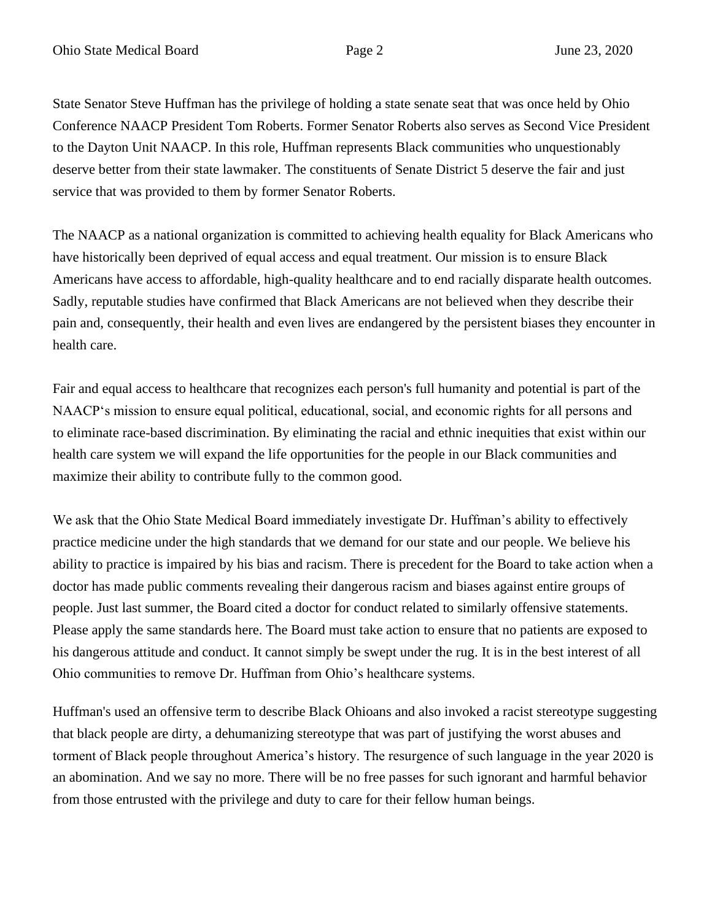State Senator Steve Huffman has the privilege of holding a state senate seat that was once held by Ohio Conference NAACP President Tom Roberts. Former Senator Roberts also serves as Second Vice President to the Dayton Unit NAACP. In this role, Huffman represents Black communities who unquestionably deserve better from their state lawmaker. The constituents of Senate District 5 deserve the fair and just service that was provided to them by former Senator Roberts.

The NAACP as a national organization is committed to achieving health equality for Black Americans who have historically been deprived of equal access and equal treatment. Our mission is to ensure Black Americans have access to affordable, high-quality healthcare and to end racially disparate health outcomes. Sadly, reputable studies have confirmed that Black Americans are not believed when they describe their pain and, consequently, their health and even lives are endangered by the persistent biases they encounter in health care.

Fair and equal access to healthcare that recognizes each person's full humanity and potential is part of the NAACP's mission to ensure equal political, educational, social, and economic rights for all persons and to eliminate race-based discrimination. By eliminating the racial and ethnic inequities that exist within our health care system we will expand the life opportunities for the people in our Black communities and maximize their ability to contribute fully to the common good.

We ask that the Ohio State Medical Board immediately investigate Dr. Huffman's ability to effectively practice medicine under the high standards that we demand for our state and our people. We believe his ability to practice is impaired by his bias and racism. There is precedent for the Board to take action when a doctor has made public comments revealing their dangerous racism and biases against entire groups of people. Just last summer, the Board cited a doctor for conduct related to similarly offensive statements. Please apply the same standards here. The Board must take action to ensure that no patients are exposed to his dangerous attitude and conduct. It cannot simply be swept under the rug. It is in the best interest of all Ohio communities to remove Dr. Huffman from Ohio's healthcare systems.

Huffman's used an offensive term to describe Black Ohioans and also invoked a racist stereotype suggesting that black people are dirty, a dehumanizing stereotype that was part of justifying the worst abuses and torment of Black people throughout America's history. The resurgence of such language in the year 2020 is an abomination. And we say no more. There will be no free passes for such ignorant and harmful behavior from those entrusted with the privilege and duty to care for their fellow human beings.